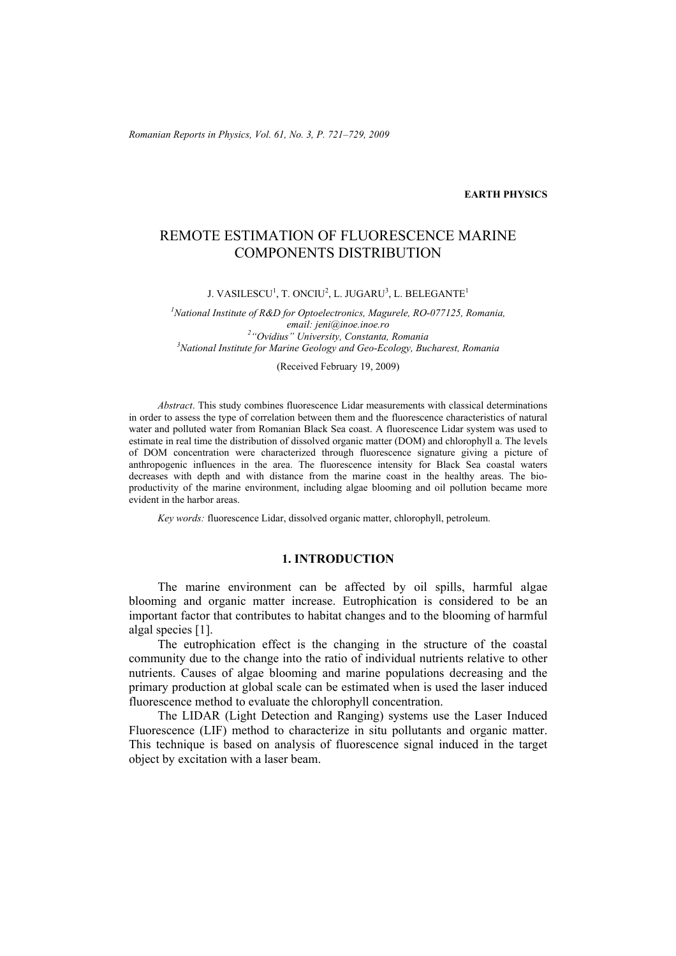*Romanian Reports in Physics, Vol. 61, No. 3, P. 721–729, 2009*

### **EARTH PHYSICS**

# REMOTE ESTIMATION OF FLUORESCENCE MARINE COMPONENTS DISTRIBUTION

J. VASILESCU<sup>1</sup>, T. ONCIU<sup>2</sup>, L. JUGARU<sup>3</sup>, L. BELEGANTE<sup>1</sup>

<sup>1</sup> National Institute of R&D for Optoelectronics, Magurele, RO-077125, Romania, *email: jeni@inoe.inoe.ro 2 "Ovidius" University, Constanta, Romania 3 National Institute for Marine Geology and Geo-Ecology, Bucharest, Romania* 

(Received February 19, 2009)

*Abstract*. This study combines fluorescence Lidar measurements with classical determinations in order to assess the type of correlation between them and the fluorescence characteristics of natural water and polluted water from Romanian Black Sea coast. A fluorescence Lidar system was used to estimate in real time the distribution of dissolved organic matter (DOM) and chlorophyll a. The levels of DOM concentration were characterized through fluorescence signature giving a picture of anthropogenic influences in the area. The fluorescence intensity for Black Sea coastal waters decreases with depth and with distance from the marine coast in the healthy areas. The bioproductivity of the marine environment, including algae blooming and oil pollution became more evident in the harbor areas.

*Key words:* fluorescence Lidar, dissolved organic matter, chlorophyll, petroleum.

## **1. INTRODUCTION**

The marine environment can be affected by oil spills, harmful algae blooming and organic matter increase. Eutrophication is considered to be an important factor that contributes to habitat changes and to the blooming of harmful algal species [1].

The eutrophication effect is the changing in the structure of the coastal community due to the change into the ratio of individual nutrients relative to other nutrients. Causes of algae blooming and marine populations decreasing and the primary production at global scale can be estimated when is used the laser induced fluorescence method to evaluate the chlorophyll concentration.

The LIDAR (Light Detection and Ranging) systems use the Laser Induced Fluorescence (LIF) method to characterize in situ pollutants and organic matter. This technique is based on analysis of fluorescence signal induced in the target object by excitation with a laser beam.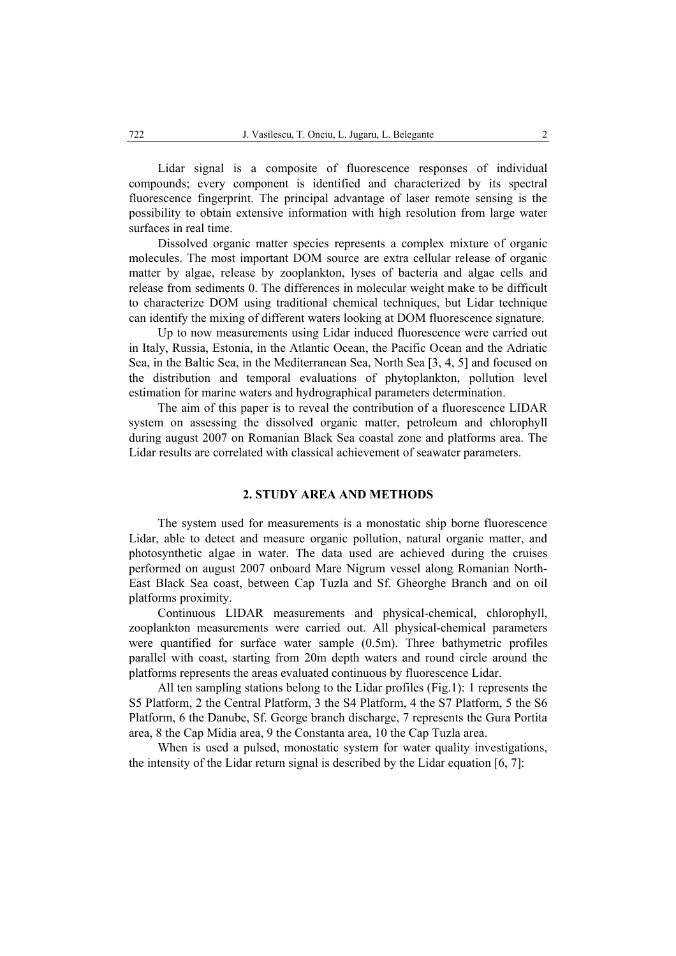Lidar signal is a composite of fluorescence responses of individual compounds; every component is identified and characterized by its spectral fluorescence fingerprint. The principal advantage of laser remote sensing is the possibility to obtain extensive information with high resolution from large water surfaces in real time.

Dissolved organic matter species represents a complex mixture of organic molecules. The most important DOM source are extra cellular release of organic matter by algae, release by zooplankton, lyses of bacteria and algae cells and release from sediments 0. The differences in molecular weight make to be difficult to characterize DOM using traditional chemical techniques, but Lidar technique can identify the mixing of different waters looking at DOM fluorescence signature.

Up to now measurements using Lidar induced fluorescence were carried out in Italy, Russia, Estonia, in the Atlantic Ocean, the Pacific Ocean and the Adriatic Sea, in the Baltic Sea, in the Mediterranean Sea, North Sea [3, 4, 5] and focused on the distribution and temporal evaluations of phytoplankton, pollution level estimation for marine waters and hydrographical parameters determination.

The aim of this paper is to reveal the contribution of a fluorescence LIDAR system on assessing the dissolved organic matter, petroleum and chlorophyll during august 2007 on Romanian Black Sea coastal zone and platforms area. The Lidar results are correlated with classical achievement of seawater parameters.

## **2. STUDY AREA AND METHODS**

The system used for measurements is a monostatic ship borne fluorescence Lidar, able to detect and measure organic pollution, natural organic matter, and photosynthetic algae in water. The data used are achieved during the cruises performed on august 2007 onboard Mare Nigrum vessel along Romanian North-East Black Sea coast, between Cap Tuzla and Sf. Gheorghe Branch and on oil platforms proximity.

Continuous LIDAR measurements and physical-chemical, chlorophyll, zooplankton measurements were carried out. All physical-chemical parameters were quantified for surface water sample (0.5m). Three bathymetric profiles parallel with coast, starting from 20m depth waters and round circle around the platforms represents the areas evaluated continuous by fluorescence Lidar.

All ten sampling stations belong to the Lidar profiles (Fig.1): 1 represents the S5 Platform, 2 the Central Platform, 3 the S4 Platform, 4 the S7 Platform, 5 the S6 Platform, 6 the Danube, Sf. George branch discharge, 7 represents the Gura Portita area, 8 the Cap Midia area, 9 the Constanta area, 10 the Cap Tuzla area.

When is used a pulsed, monostatic system for water quality investigations, the intensity of the Lidar return signal is described by the Lidar equation [6, 7]: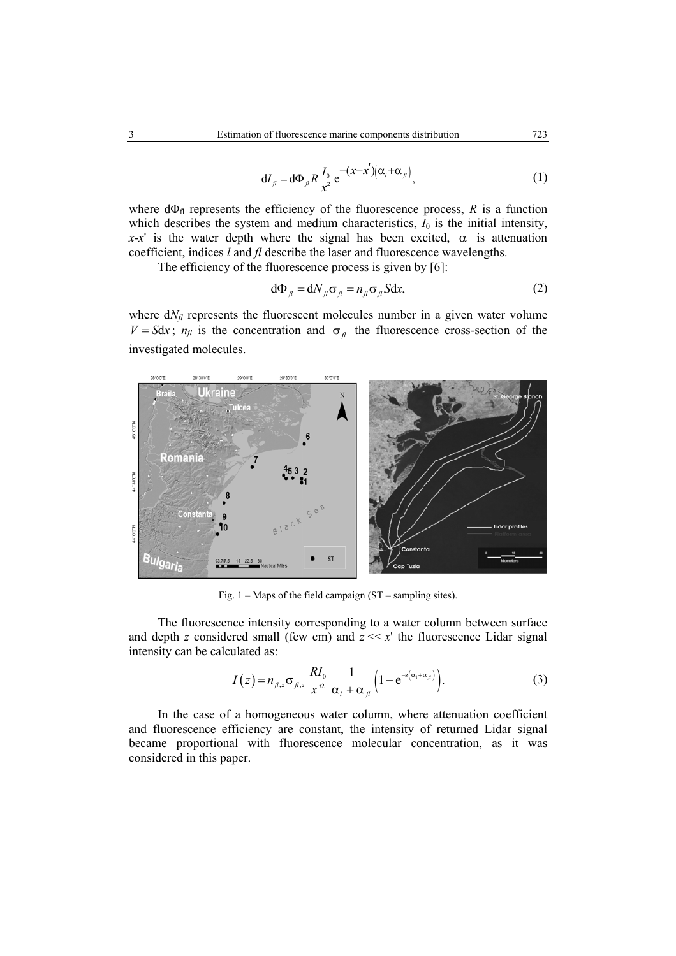$$
dI_{\scriptscriptstyle\beta} = d\Phi_{\scriptscriptstyle\beta} R \frac{I_0}{x^2} e^{-(x-x^{'}) (\alpha_{\scriptscriptstyle\beta} + \alpha_{\scriptscriptstyle\beta})}, \qquad (1)
$$

where  $d\Phi_{fl}$  represents the efficiency of the fluorescence process, *R* is a function which describes the system and medium characteristics,  $I_0$  is the initial intensity,  $x-x'$  is the water depth where the signal has been excited,  $\alpha$  is attenuation coefficient, indices *l* and *fl* describe the laser and fluorescence wavelengths.

The efficiency of the fluorescence process is given by [6]:

$$
d\Phi_{\scriptscriptstyle\beta} = dN_{\scriptscriptstyle\beta}\sigma_{\scriptscriptstyle\beta} = n_{\scriptscriptstyle\beta}\sigma_{\scriptscriptstyle\beta} Sdx,\tag{2}
$$

where  $dN_f$  represents the fluorescent molecules number in a given water volume  $V = Sdx$ ;  $n_f$  is the concentration and  $\sigma_f$  the fluorescence cross-section of the investigated molecules.



Fig. 1 – Maps of the field campaign (ST – sampling sites).

The fluorescence intensity corresponding to a water column between surface and depth *z* considered small (few cm) and  $z \ll x$  the fluorescence Lidar signal intensity can be calculated as:

$$
I(z) = n_{\beta,z} \sigma_{\beta,z} \frac{R I_0}{x^2} \frac{1}{\alpha_i + \alpha_{\beta}} \left( 1 - e^{-z(\alpha_i + \alpha_{\beta})} \right).
$$
 (3)

In the case of a homogeneous water column, where attenuation coefficient and fluorescence efficiency are constant, the intensity of returned Lidar signal became proportional with fluorescence molecular concentration, as it was considered in this paper.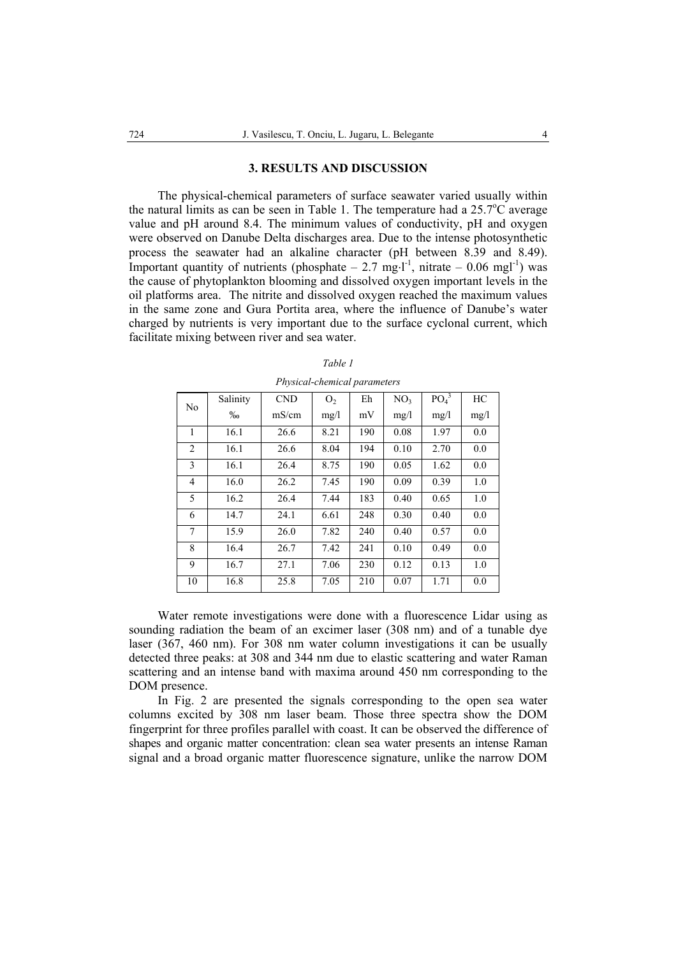#### **3. RESULTS AND DISCUSSION**

The physical-chemical parameters of surface seawater varied usually within the natural limits as can be seen in Table 1. The temperature had a  $25.7^{\circ}$ C average value and pH around 8.4. The minimum values of conductivity, pH and oxygen were observed on Danube Delta discharges area. Due to the intense photosynthetic process the seawater had an alkaline character (pH between 8.39 and 8.49). Important quantity of nutrients (phosphate – 2.7 mg⋅l<sup>-1</sup>, nitrate – 0.06 mgl<sup>-1</sup>) was the cause of phytoplankton blooming and dissolved oxygen important levels in the oil platforms area. The nitrite and dissolved oxygen reached the maximum values in the same zone and Gura Portita area, where the influence of Danube's water charged by nutrients is very important due to the surface cyclonal current, which facilitate mixing between river and sea water.

| N <sub>0</sub> | Salinity | <b>CND</b> | O <sub>2</sub> | Eh  | NO <sub>3</sub> | PO <sub>4</sub> <sup>3</sup> | HC   |
|----------------|----------|------------|----------------|-----|-----------------|------------------------------|------|
|                | $\%$     | mS/cm      | mg/l           | mV  | mg/1            | mg/l                         | mg/l |
| 1              | 16.1     | 26.6       | 8.21           | 190 | 0.08            | 1.97                         | 0.0  |
| 2              | 16.1     | 26.6       | 8.04           | 194 | 0.10            | 2.70                         | 0.0  |
| 3              | 16.1     | 26.4       | 8.75           | 190 | 0.05            | 1.62                         | 0.0  |
| 4              | 16.0     | 26.2       | 7.45           | 190 | 0.09            | 0.39                         | 1.0  |
| 5              | 16.2     | 26.4       | 7.44           | 183 | 0.40            | 0.65                         | 1.0  |
| 6              | 14.7     | 24.1       | 6.61           | 248 | 0.30            | 0.40                         | 0.0  |
| 7              | 15.9     | 26.0       | 7.82           | 240 | 0.40            | 0.57                         | 0.0  |
| 8              | 16.4     | 26.7       | 7.42           | 241 | 0.10            | 0.49                         | 0.0  |
| 9              | 16.7     | 27.1       | 7.06           | 230 | 0.12            | 0.13                         | 1.0  |
| 10             | 16.8     | 25.8       | 7.05           | 210 | 0.07            | 1.71                         | 0.0  |

| Table 1                             |  |
|-------------------------------------|--|
| <i>Physical-chemical parameters</i> |  |

Water remote investigations were done with a fluorescence Lidar using as sounding radiation the beam of an excimer laser (308 nm) and of a tunable dye laser (367, 460 nm). For 308 nm water column investigations it can be usually detected three peaks: at 308 and 344 nm due to elastic scattering and water Raman scattering and an intense band with maxima around 450 nm corresponding to the DOM presence.

In Fig. 2 are presented the signals corresponding to the open sea water columns excited by 308 nm laser beam. Those three spectra show the DOM fingerprint for three profiles parallel with coast. It can be observed the difference of shapes and organic matter concentration: clean sea water presents an intense Raman signal and a broad organic matter fluorescence signature, unlike the narrow DOM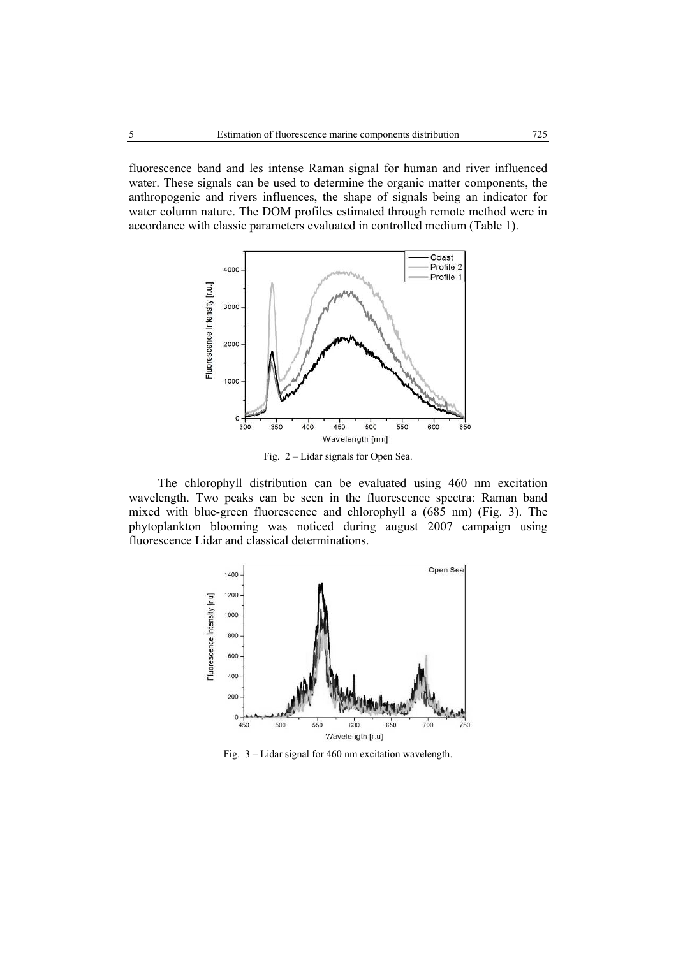fluorescence band and les intense Raman signal for human and river influenced water. These signals can be used to determine the organic matter components, the anthropogenic and rivers influences, the shape of signals being an indicator for water column nature. The DOM profiles estimated through remote method were in accordance with classic parameters evaluated in controlled medium (Table 1).



Fig. 2 – Lidar signals for Open Sea.

The chlorophyll distribution can be evaluated using 460 nm excitation wavelength. Two peaks can be seen in the fluorescence spectra: Raman band mixed with blue-green fluorescence and chlorophyll a (685 nm) (Fig. 3). The phytoplankton blooming was noticed during august 2007 campaign using fluorescence Lidar and classical determinations.



Fig. 3 – Lidar signal for 460 nm excitation wavelength.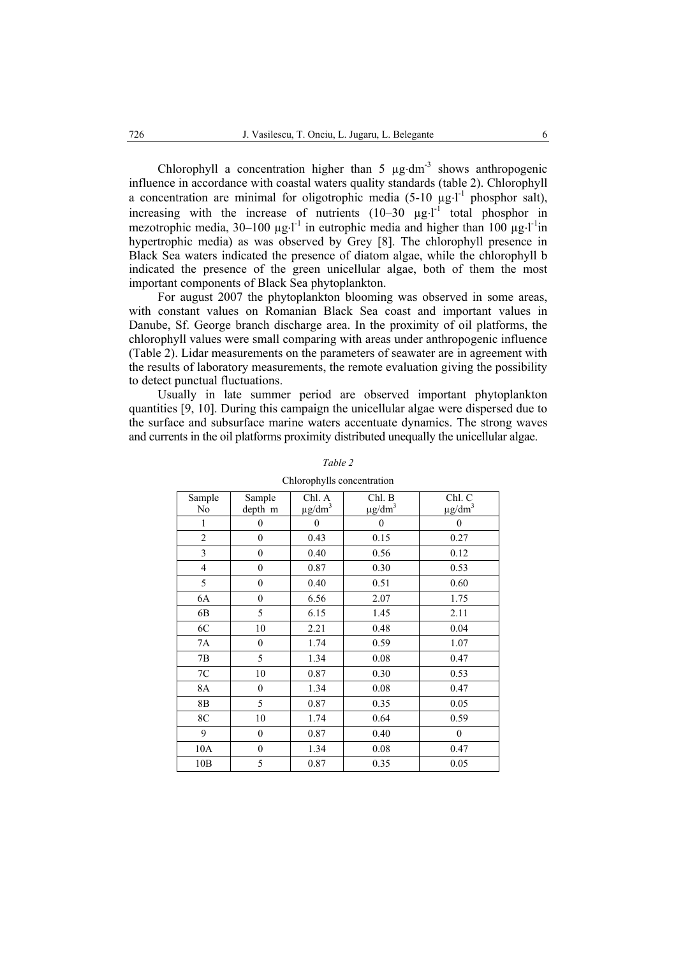Chlorophyll a concentration higher than  $5 \text{ kg} \cdot \text{dm}^{-3}$  shows anthropogenic influence in accordance with coastal waters quality standards (table 2). Chlorophyll a concentration are minimal for oligotrophic media  $(5-10 \mu g \cdot l^{-1})$  phosphor salt), increasing with the increase of nutrients  $(10-30 \mu g·l^{-1})$  total phosphor in mezotrophic media,  $30-100 \mu g \cdot l^{-1}$  in eutrophic media and higher than  $100 \mu g \cdot l^{-1}$ in hypertrophic media) as was observed by Grey [8]. The chlorophyll presence in Black Sea waters indicated the presence of diatom algae, while the chlorophyll b indicated the presence of the green unicellular algae, both of them the most important components of Black Sea phytoplankton.

For august 2007 the phytoplankton blooming was observed in some areas, with constant values on Romanian Black Sea coast and important values in Danube, Sf. George branch discharge area. In the proximity of oil platforms, the chlorophyll values were small comparing with areas under anthropogenic influence (Table 2). Lidar measurements on the parameters of seawater are in agreement with the results of laboratory measurements, the remote evaluation giving the possibility to detect punctual fluctuations.

Usually in late summer period are observed important phytoplankton quantities [9, 10]. During this campaign the unicellular algae were dispersed due to the surface and subsurface marine waters accentuate dynamics. The strong waves and currents in the oil platforms proximity distributed unequally the unicellular algae.

| Sample         | Sample           | Chl. A                  | Chl. B                  | Chl. C                  |
|----------------|------------------|-------------------------|-------------------------|-------------------------|
| N <sub>0</sub> | depth m          | $\mu$ g/dm <sup>3</sup> | $\mu$ g/dm <sup>3</sup> | $\mu$ g/dm <sup>3</sup> |
| 1              | 0                | 0                       | $\boldsymbol{0}$        | $\boldsymbol{0}$        |
| $\overline{c}$ | $\boldsymbol{0}$ | 0.43                    | 0.15                    | 0.27                    |
| 3              | $\boldsymbol{0}$ | 0.40                    | 0.56                    | 0.12                    |
| $\overline{4}$ | $\mathbf{0}$     | 0.87                    | 0.30                    | 0.53                    |
| 5              | $\boldsymbol{0}$ | 0.40                    | 0.51                    | 0.60                    |
| 6A             | $\mathbf{0}$     | 6.56                    | 2.07                    | 1.75                    |
| 6B             | 5                | 6.15                    | 1.45                    | 2.11                    |
| 6C             | 10               | 2.21                    | 0.48                    | 0.04                    |
| 7A             | $\mathbf{0}$     | 1.74                    | 0.59                    | 1.07                    |
| 7B             | 5                | 1.34                    | 0.08                    | 0.47                    |
| $7\mathrm{C}$  | 10               | 0.87                    | 0.30                    | 0.53                    |
| 8A             | $\mathbf{0}$     | 1.34                    | 0.08                    | 0.47                    |
| 8B             | 5                | 0.87                    | 0.35                    | 0.05                    |
| 8C             | 10               | 1.74                    | 0.64                    | 0.59                    |
| 9              | $\mathbf{0}$     | 0.87                    | 0.40                    | $\mathbf{0}$            |
| 10A            | $\mathbf{0}$     | 1.34                    | 0.08                    | 0.47                    |
| 10B            | 5                | 0.87                    | 0.35                    | 0.05                    |

#### *Table 2*

Chlorophylls concentration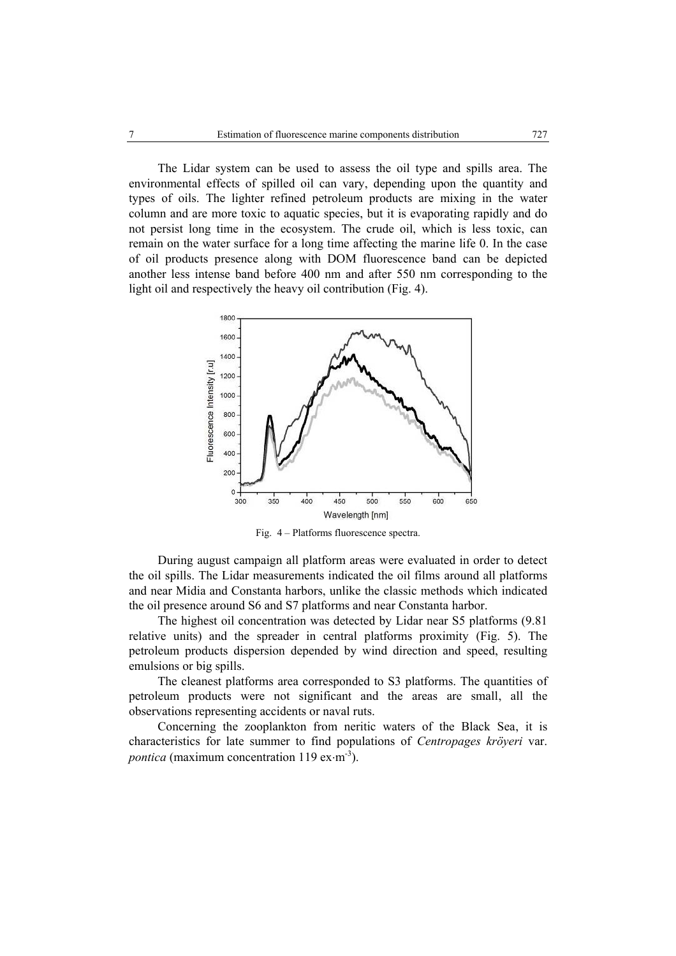The Lidar system can be used to assess the oil type and spills area. The environmental effects of spilled oil can vary, depending upon the quantity and types of oils. The lighter refined petroleum products are mixing in the water column and are more toxic to aquatic species, but it is evaporating rapidly and do not persist long time in the ecosystem. The crude oil, which is less toxic, can remain on the water surface for a long time affecting the marine life 0. In the case of oil products presence along with DOM fluorescence band can be depicted another less intense band before 400 nm and after 550 nm corresponding to the light oil and respectively the heavy oil contribution (Fig. 4).



Fig. 4 – Platforms fluorescence spectra.

During august campaign all platform areas were evaluated in order to detect the oil spills. The Lidar measurements indicated the oil films around all platforms and near Midia and Constanta harbors, unlike the classic methods which indicated the oil presence around S6 and S7 platforms and near Constanta harbor.

The highest oil concentration was detected by Lidar near S5 platforms (9.81 relative units) and the spreader in central platforms proximity (Fig. 5). The petroleum products dispersion depended by wind direction and speed, resulting emulsions or big spills.

The cleanest platforms area corresponded to S3 platforms. The quantities of petroleum products were not significant and the areas are small, all the observations representing accidents or naval ruts.

Concerning the zooplankton from neritic waters of the Black Sea, it is characteristics for late summer to find populations of *Centropages kröyeri* var. *pontica* (maximum concentration 119 ex⋅m<sup>-3</sup>).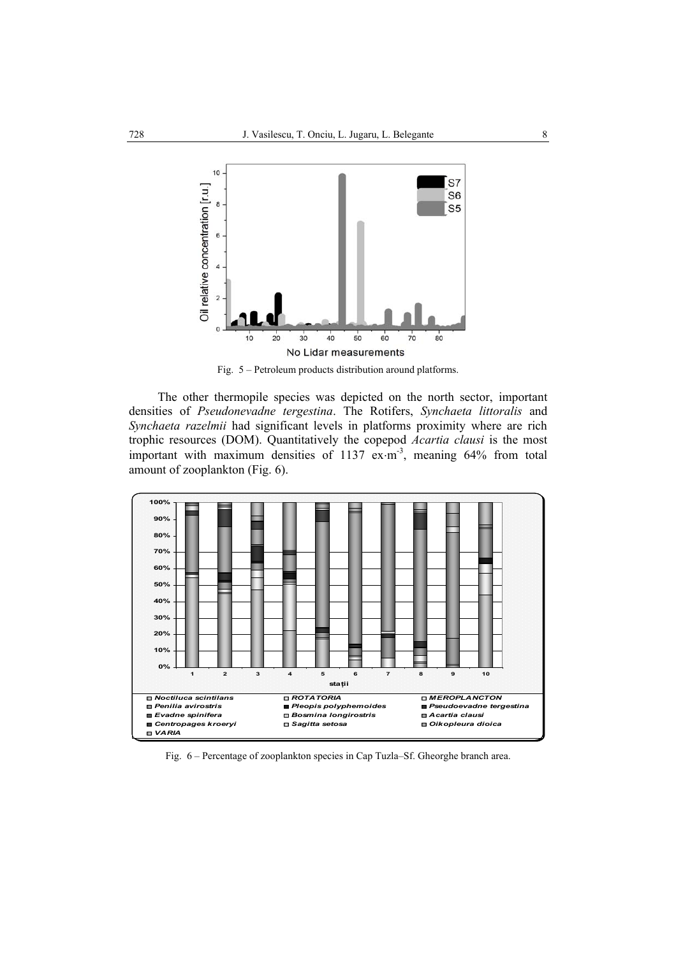

Fig. 5 – Petroleum products distribution around platforms.

The other thermopile species was depicted on the north sector, important densities of *Pseudonevadne tergestina*. The Rotifers, *Synchaeta littoralis* and *Synchaeta razelmii* had significant levels in platforms proximity where are rich trophic resources (DOM). Quantitatively the copepod *Acartia clausi* is the most important with maximum densities of 1137 ex⋅m<sup>-3</sup>, meaning 64% from total amount of zooplankton (Fig. 6).



Fig. 6 – Percentage of zooplankton species in Cap Tuzla–Sf. Gheorghe branch area.